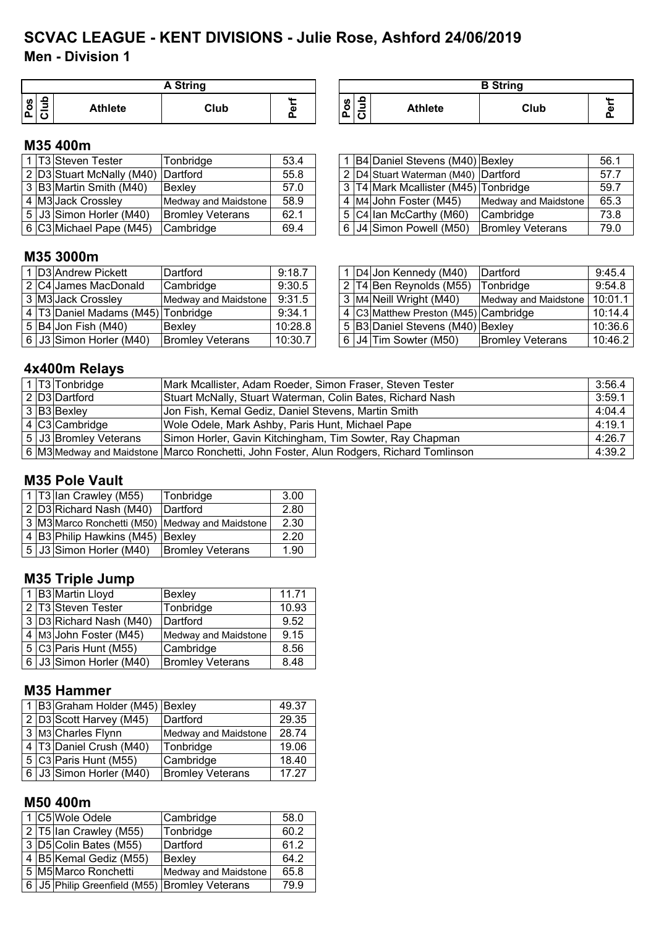## **Men - Division 1 SCVAC LEAGUE - KENT DIVISIONS - Julie Rose, Ashford 24/06/2019**

|        |                | <b>A String</b> |   |
|--------|----------------|-----------------|---|
| ဖ<br>o | <b>Athlete</b> | Club            | ω |

| A String |   |                |                | <b>B</b> String |  |
|----------|---|----------------|----------------|-----------------|--|
| Club     | ω | <b>S</b><br>o. | <b>Athlete</b> | Club            |  |

#### **M35 400m**

|  | ، ∣T3 <i>∖</i> Steven Tester       | Tonbridae               | 53.4 |  | 1 B4 Daniel Stevens (M40) Bexley     |                         | 56.1 |
|--|------------------------------------|-------------------------|------|--|--------------------------------------|-------------------------|------|
|  | 2 D3 Stuart McNally (M40) Dartford |                         | 55.8 |  | 2 D4 Stuart Waterman (M40) Dartford  |                         | 57.7 |
|  | 3 B3 Martin Smith (M40)            | Bexley                  | 57.0 |  | 3 T4 Mark Mcallister (M45) Tonbridge |                         | 59.7 |
|  | 4 M3 Jack Crossley                 | Medway and Maidstone    | 58.9 |  | 4 M4 John Foster (M45)               | Medway and Maidstone    | 65.3 |
|  | 5 J3 Simon Horler (M40)            | <b>Bromley Veterans</b> | 62.1 |  | 5 C4 Ian McCarthy (M60)              | Cambridge               | 73.8 |
|  | 6 C3 Michael Pape (M45)            | <b>Cambridge</b>        | 69.4 |  | 6 J4 Simon Powell (M50)              | <b>Bromley Veterans</b> | 79.0 |

|  | 1   B4   Daniel Stevens (M40)   Bexley |                         | 56.1 |
|--|----------------------------------------|-------------------------|------|
|  | 2 D4 Stuart Waterman (M40) Dartford    |                         | 57.7 |
|  | 3 T4 Mark Mcallister (M45) Tonbridge   |                         | 59.7 |
|  | 4 M4 John Foster (M45)                 | Medway and Maidstone    | 65.3 |
|  | 5 C4 lan McCarthy (M60)                | Cambridge               | 73.8 |
|  | 6 J4 Simon Powell (M50)                | <b>Bromley Veterans</b> | 79.0 |

#### **M35 3000m**

|  | I D3 Andrew Pickett                | Dartford                      | 9:18.7  |  | 1   D4 Jon Kennedy (M40)             | <b>IDartford</b>        | 9:45.4  |
|--|------------------------------------|-------------------------------|---------|--|--------------------------------------|-------------------------|---------|
|  | 2 C4 James MacDonald               | Cambridge                     | 9:30.5  |  | $2$ T4 Ben Reynolds (M55)            | Tonbridge               | 9:54.8  |
|  | 3 M3 Jack Crossley                 | Medway and Maidstone   9:31.5 |         |  | 3 M4 Neill Wright (M40)              | Medway and Maidstone    | 10:01.1 |
|  | 4 T3 Daniel Madams (M45) Tonbridge |                               | 9:34.1  |  | 4 C3 Matthew Preston (M45) Cambridge |                         | 10:14.4 |
|  | 5 B4 Jon Fish (M40)                | Bexley                        | 10:28.8 |  | 5 B3 Daniel Stevens (M40) Bexley     |                         | 10:36.6 |
|  | $6$ J3 Simon Horler (M40)          | <b>Bromley Veterans</b>       | 10:30.7 |  | 6   J4  Tim Sowter (M50)             | <b>Bromley Veterans</b> | 10:46.2 |

|  | 1   D4   Jon Kennedy (M40)           | Dartford                | 9:45.4  |
|--|--------------------------------------|-------------------------|---------|
|  | 2 T4 Ben Reynolds (M55)              | Tonbridge               | 9:54.8  |
|  | 3 M4 Neill Wright (M40)              | Medway and Maidstone    | 10:01.1 |
|  | 4 C3 Matthew Preston (M45) Cambridge |                         | 10:14.4 |
|  | 5 B3 Daniel Stevens (M40) Bexley     |                         | 10:36.6 |
|  | 6 J4 Tim Sowter (M50)                | <b>Bromley Veterans</b> | 10:46.2 |

## **4x400m Relays**

|  | 1 T3 Tonbridge              | Mark Mcallister, Adam Roeder, Simon Fraser, Steven Tester                               | 3:56.4 |
|--|-----------------------------|-----------------------------------------------------------------------------------------|--------|
|  | 2 D3 Dartford               | Stuart McNally, Stuart Waterman, Colin Bates, Richard Nash                              | 3:59.1 |
|  | 3 B3 Bexley                 | Jon Fish, Kemal Gediz, Daniel Stevens, Martin Smith                                     | 4:04.4 |
|  | $\overline{4}$ C3 Cambridge | Wole Odele, Mark Ashby, Paris Hunt, Michael Pape                                        | 4:19.1 |
|  | 5 J3 Bromley Veterans       | Simon Horler, Gavin Kitchingham, Tim Sowter, Ray Chapman                                | 4:26.7 |
|  |                             | 6 M3 Medway and Maidstone Marco Ronchetti, John Foster, Alun Rodgers, Richard Tomlinson | 4:39.2 |

#### **M35 Pole Vault**

|  | 1 T3 Ian Crawley (M55)           | Tonbridge                                       | 3.00 |
|--|----------------------------------|-------------------------------------------------|------|
|  | 2 D3 Richard Nash (M40)          | Dartford                                        | 2.80 |
|  |                                  | 3 M3 Marco Ronchetti (M50) Medway and Maidstone | 2.30 |
|  | 4 B3 Philip Hawkins (M45) Bexley |                                                 | 2.20 |
|  | 5 J3 Simon Horler (M40)          | <b>Bromley Veterans</b>                         | 1.90 |

## **M35 Triple Jump**

|  | 1 B3 Martin Lloyd       | Bexley                  | 11.71 |
|--|-------------------------|-------------------------|-------|
|  | 2 T3 Steven Tester      | Tonbridge               | 10.93 |
|  | 3 D3 Richard Nash (M40) | Dartford                | 9.52  |
|  | 4 M3 John Foster (M45)  | Medway and Maidstone    | 9.15  |
|  | $5$ C3 Paris Hunt (M55) | Cambridge               | 8.56  |
|  | 6 J3 Simon Horler (M40) | <b>Bromley Veterans</b> | 8.48  |

#### **M35 Hammer**

|  | 1 B3 Graham Holder (M45) Bexley |                         | 49.37 |
|--|---------------------------------|-------------------------|-------|
|  | 2 D3 Scott Harvey (M45)         | Dartford                | 29.35 |
|  | 3 M3 Charles Flynn              | Medway and Maidstone    | 28.74 |
|  | 4 T3 Daniel Crush (M40)         | Tonbridge               | 19.06 |
|  | $5 C3 $ Paris Hunt (M55)        | Cambridge               | 18.40 |
|  | 6 J3 Simon Horler (M40)         | <b>Bromley Veterans</b> | 17.27 |

## **M50 400m**

|  | 1 C5 Wole Odele                                     | Cambridge            | 58.0 |
|--|-----------------------------------------------------|----------------------|------|
|  | 2 T5 Ian Crawley (M55)                              | Tonbridge            | 60.2 |
|  | 3 D5 Colin Bates (M55)                              | Dartford             | 61.2 |
|  | 4 B5 Kemal Gediz (M55)                              | Bexley               | 64.2 |
|  | 5 M5 Marco Ronchetti                                | Medway and Maidstone | 65.8 |
|  | 6   J5   Philip Greenfield (M55)   Bromley Veterans |                      | 79.9 |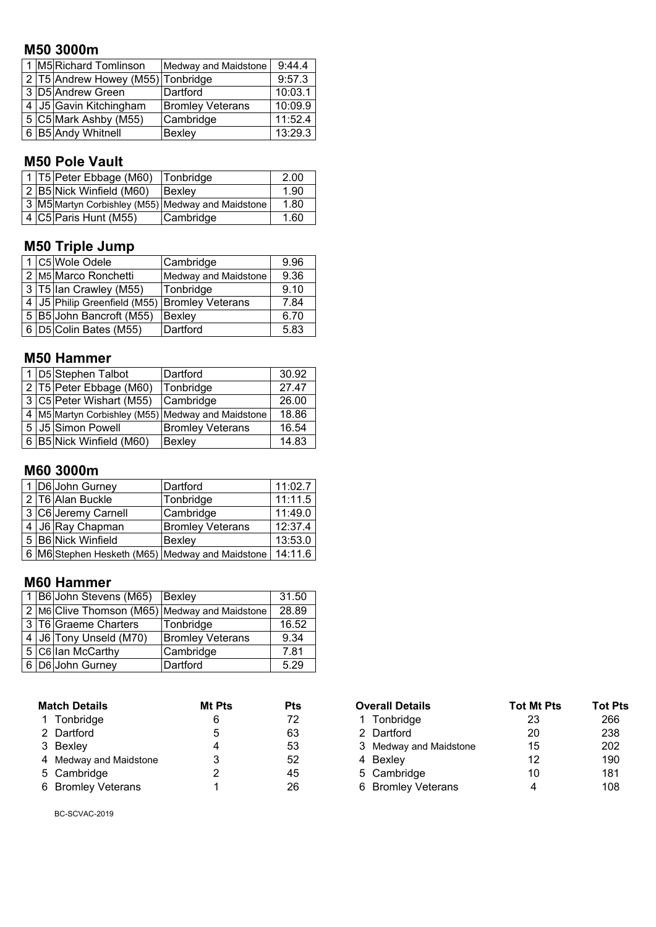## **M50 3000m**

|  | 1 M5 Richard Tomlinson            | Medway and Maidstone    | 9:44.4  |
|--|-----------------------------------|-------------------------|---------|
|  | 2 T5 Andrew Howey (M55) Tonbridge |                         | 9:57.3  |
|  | 3 D5 Andrew Green                 | Dartford                | 10:03.1 |
|  | 4 J5 Gavin Kitchingham            | <b>Bromley Veterans</b> | 10:09.9 |
|  | 5 C5 Mark Ashby (M55)             | Cambridge               | 11:52.4 |
|  | 6 B5 Andy Whitnell                | Bexley                  | 13:29.3 |

## **M50 Pole Vault**

|  | 1 T5 Peter Ebbage (M60)   | Tonbridge                                         | 2.00 |
|--|---------------------------|---------------------------------------------------|------|
|  | 2 B5 Nick Winfield (M60)  | Bexley                                            | 1.90 |
|  |                           | 3 M5 Martyn Corbishley (M55) Medway and Maidstone | 1.80 |
|  | 4 $ C5 $ Paris Hunt (M55) | Cambridge                                         | 1.60 |

## **M50 Triple Jump**

|  | 1 C5 Wole Odele                                     | Cambridge            | 9.96 |
|--|-----------------------------------------------------|----------------------|------|
|  | 2 M5 Marco Ronchetti                                | Medway and Maidstone | 9.36 |
|  | 3 T5 Ian Crawley (M55)                              | Tonbridge            | 9.10 |
|  | 4   J5   Philip Greenfield (M55)   Bromley Veterans |                      | 7.84 |
|  | 5 B5 John Bancroft (M55)                            | Bexley               | 6.70 |
|  | 6 D5 Colin Bates (M55)                              | Dartford             | 5.83 |

## **M50 Hammer**

|                          | 1 D5 Stephen Talbot      | Dartford                                          | 30.92 |
|--------------------------|--------------------------|---------------------------------------------------|-------|
| 2 T5 Peter Ebbage (M60)  |                          | Tonbridge                                         | 27.47 |
| 3 C5 Peter Wishart (M55) |                          | Cambridge                                         | 26.00 |
|                          |                          | 4 M5 Martyn Corbishley (M55) Medway and Maidstone | 18.86 |
|                          | 5 J5 Simon Powell        | <b>Bromley Veterans</b>                           | 16.54 |
|                          | 6 B5 Nick Winfield (M60) | <b>Bexley</b>                                     | 14.83 |

## **M60 3000m**

|                     | 1 D6 John Gurney   | Dartford                                        | 11:02.7 |
|---------------------|--------------------|-------------------------------------------------|---------|
| 2 T6 Alan Buckle    |                    | Tonbridge                                       | 11:11.5 |
| 3 C6 Jeremy Carnell |                    | Cambridge                                       | 11:49.0 |
| 4 J6 Ray Chapman    |                    | <b>Bromley Veterans</b>                         | 12:37.4 |
|                     | 5 B6 Nick Winfield | Bexley                                          | 13:53.0 |
|                     |                    | 6 M6 Stephen Hesketh (M65) Medway and Maidstone | 14:11.6 |

#### **M60 Hammer**

|  | 1 B6 John Stevens (M65) Bexley |                                               | 31.50 |
|--|--------------------------------|-----------------------------------------------|-------|
|  |                                | 2 M6 Clive Thomson (M65) Medway and Maidstone | 28.89 |
|  | 3 T6 Graeme Charters           | Tonbridge                                     | 16.52 |
|  | 4 J6 Tony Unseld (M70)         | <b>Bromley Veterans</b>                       | 9.34  |
|  | 5 C6 lan McCarthy              | Cambridge                                     | 7.81  |
|  | 6 D6 John Gurney               | Dartford                                      | 5.29  |

| <b>Match Details</b>   | <b>Mt Pts</b> | Pts |
|------------------------|---------------|-----|
| 1 Tonbridge            | 6             | 72  |
| 2 Dartford             | 5             | 63  |
| 3 Bexley               | 4             | 53  |
| 4 Medway and Maidstone | 3             | 52  |
| 5 Cambridge            | 2             | 45  |
| 6 Bromley Veterans     | 1             | 26  |

| <b>Match Details</b>   | <b>Mt Pts</b> | <b>Pts</b> | <b>Overall Details</b> | <b>Tot Mt Pts</b> | <b>Tot Pts</b> |
|------------------------|---------------|------------|------------------------|-------------------|----------------|
| 1 Tonbridge            | 6             | 72         | 1 Tonbridge            | 23                | 266            |
| 2 Dartford             | 5             | 63         | 2 Dartford             | 20                | 238            |
| 3 Bexley               | 4             | 53         | 3 Medway and Maidstone | 15                | 202            |
| 4 Medway and Maidstone | 3             | 52         | 4 Bexley               | 12                | 190            |
| 5 Cambridge            |               | 45         | 5 Cambridge            | 10                | 181            |
| 6 Bromley Veterans     |               | 26         | 6 Bromley Veterans     |                   | 108            |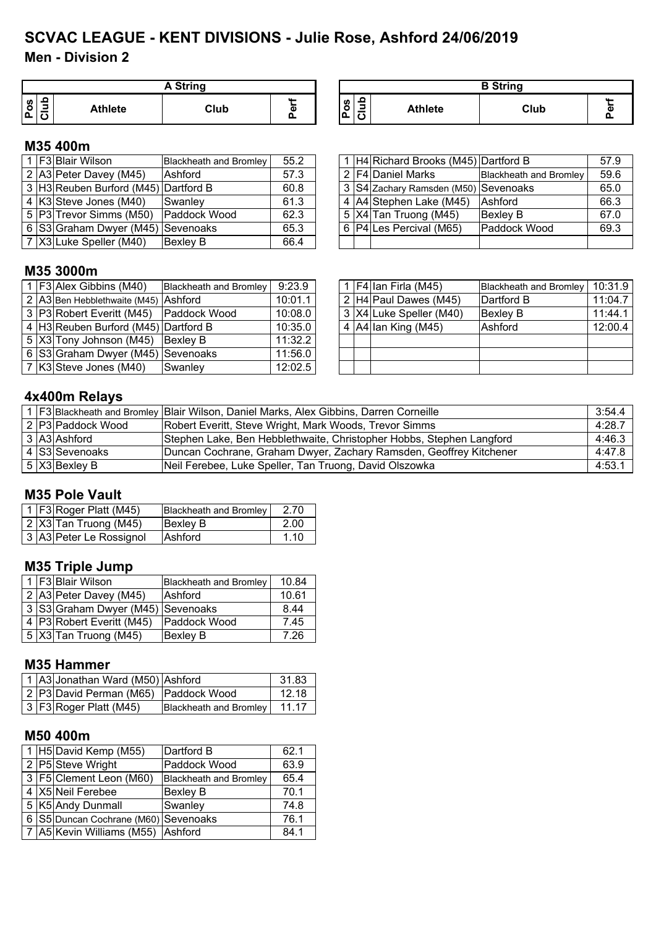## **Men - Division 2 SCVAC LEAGUE - KENT DIVISIONS - Julie Rose, Ashford 24/06/2019**

|                       | A String |                |      |   |  |  |  |  |  |
|-----------------------|----------|----------------|------|---|--|--|--|--|--|
| <b>S</b><br>$\bullet$ |          | <b>Athlete</b> | Club | ω |  |  |  |  |  |

| A String |   |                        |                | <b>B</b> String |  |
|----------|---|------------------------|----------------|-----------------|--|
| Club     | ω | ທ<br>o<br>-<br>o<br>ъ. | <b>Athlete</b> | Club            |  |

#### **M35 400m**

|  | 1 F3 Blair Wilson                    | Blackheath and Bromley | 55.2 |  | 1 H4 Richard Brooks (M45) Dartford B |                        | 57.9 |
|--|--------------------------------------|------------------------|------|--|--------------------------------------|------------------------|------|
|  | 2 A3 Peter Davey (M45)               | <b>Ashford</b>         | 57.3 |  | 2 F4 Daniel Marks                    | Blackheath and Bromley | 59.6 |
|  | 3 H3 Reuben Burford (M45) Dartford B |                        | 60.8 |  | 3 S4 Zachary Ramsden (M50) Sevenoaks |                        | 65.0 |
|  | 4 K3 Steve Jones (M40)               | Swanley                | 61.3 |  | 4 A4 Stephen Lake (M45)              | Ashford                | 66.3 |
|  | 5 P3 Trevor Simms (M50) Paddock Wood |                        | 62.3 |  | $5$ $ X4 $ Tan Truong (M45)          | <b>Bexley B</b>        | 67.0 |
|  | 6 S3 Graham Dwyer (M45) Sevenoaks    |                        | 65.3 |  | 6   P4   Les Percival (M65)          | <b>Paddock Wood</b>    | 69.3 |
|  | 7   X3   Luke Speller (M40)          | <b>Bexley B</b>        | 66.4 |  |                                      |                        |      |

|                             | 1 H4 Richard Brooks (M45) Dartford B |                               | 57.9 |
|-----------------------------|--------------------------------------|-------------------------------|------|
|                             | 2 F4 Daniel Marks                    | <b>Blackheath and Bromley</b> | 59.6 |
|                             | 3 S4 Zachary Ramsden (M50) Sevenoaks |                               | 65.0 |
|                             | 4 A4 Stephen Lake (M45)              | Ashford                       | 66.3 |
|                             | 5 X4 Tan Truong (M45)                | <b>Bexley B</b>               | 67.0 |
| 6   P4   Les Percival (M65) |                                      | Paddock Wood                  | 69.3 |
|                             |                                      |                               |      |

### **M35 3000m**

|  | 1 F3 Alex Gibbins (M40)                | <b>Blackheath and Bromley</b> | 9:23.9  |  | 1 $ F4 $ lan Firla (M45)            | Blackheath and Bromley   10:31.9 |         |
|--|----------------------------------------|-------------------------------|---------|--|-------------------------------------|----------------------------------|---------|
|  | 2 A3 Ben Hebblethwaite (M45) Ashford   |                               | 10:01.1 |  | $2$ H4 Paul Dawes (M45)             | Dartford B                       | 11:04.7 |
|  | 3 P3 Robert Everitt (M45) Paddock Wood |                               | 10:08.0 |  | 3 X4 Luke Speller (M40)             | <b>Bexley B</b>                  | 11:44.1 |
|  | 4 H3 Reuben Burford (M45) Dartford B   |                               | 10:35.0 |  | 4 $\vert$ A4 $\vert$ lan King (M45) | Ashford                          | 12:00.4 |
|  | 5 X3 Tony Johnson (M45) Bexley B       |                               | 11:32.2 |  |                                     |                                  |         |
|  | 6 S3 Graham Dwyer (M45) Sevenoaks      |                               | 11:56.0 |  |                                     |                                  |         |
|  | 7 K3 Steve Jones (M40)                 | <b>Swanley</b>                | 12:02.5 |  |                                     |                                  |         |

|  | 1   F4   Ian Firla (M45) | <b>Blackheath and Bromley</b> | 10:31.9 |
|--|--------------------------|-------------------------------|---------|
|  | 2 H4 Paul Dawes (M45)    | Dartford B                    | 11:04.7 |
|  | 3 X4 Luke Speller (M40)  | Bexley B                      | 11:44.1 |
|  | 4 $ A4 $ lan King (M45)  | Ashford                       | 12:00.4 |
|  |                          |                               |         |
|  |                          |                               |         |
|  |                          |                               |         |

## **4x400m Relays**

|  |                   | 1   F3 Blackheath and Bromley Blair Wilson, Daniel Marks, Alex Gibbins, Darren Corneille | 3:54.4 |
|--|-------------------|------------------------------------------------------------------------------------------|--------|
|  | 2 P3 Paddock Wood | Robert Everitt, Steve Wright, Mark Woods, Trevor Simms                                   | 4:28.7 |
|  | 3 A3 Ashford      | Stephen Lake, Ben Hebblethwaite, Christopher Hobbs, Stephen Langford                     | 4:46.3 |
|  | 4 S3 Sevenoaks    | Duncan Cochrane, Graham Dwyer, Zachary Ramsden, Geoffrey Kitchener                       | 4:47.8 |
|  | $5$ $X3$ Bexley B | Neil Ferebee, Luke Speller, Tan Truong, David Olszowka                                   | 4:53.1 |

#### **M35 Pole Vault**

|  | $\vert$ 1   F3   Roger Platt (M45) | <b>Blackheath and Bromley</b> | 2.70 |
|--|------------------------------------|-------------------------------|------|
|  | $ 2 X3 $ Tan Truong (M45)          | <b>Bexley B</b>               | 2.00 |
|  | 3 A3 Peter Le Rossignol            | <b>Ashford</b>                | 1.10 |

## **M35 Triple Jump**

|  | 1 F3 Blair Wilson                 | <b>Blackheath and Bromley</b> | 10.84 |
|--|-----------------------------------|-------------------------------|-------|
|  | 2 A3 Peter Davey (M45)            | Ashford                       | 10.61 |
|  | 3 S3 Graham Dwyer (M45) Sevenoaks |                               | 8.44  |
|  | 4 P3 Robert Everitt (M45)         | Paddock Wood                  | 7.45  |
|  | $\sqrt{5}$ X3 Tan Truong (M45)    | <b>Bexley B</b>               | 7.26  |

#### **M35 Hammer**

|  | 1 A3 Jonathan Ward (M50) Ashford     |                               | 31.83   |
|--|--------------------------------------|-------------------------------|---------|
|  | 2 P3 David Perman (M65) Paddock Wood |                               | 12.18   |
|  | 3 F3 Roger Platt (M45)               | <b>Blackheath and Bromley</b> | . 11.17 |

#### **M50 400m**

|  | 1 H5 David Kemp (M55)                | Dartford B                    | 62.1 |
|--|--------------------------------------|-------------------------------|------|
|  | 2 P5 Steve Wright                    | Paddock Wood                  | 63.9 |
|  | 3   F5   Clement Leon (M60)          | <b>Blackheath and Bromley</b> | 65.4 |
|  | 4 X5 Neil Ferebee                    | <b>Bexley B</b>               | 70.1 |
|  | 5 K5 Andy Dunmall                    | Swanley                       | 74.8 |
|  | 6 S5 Duncan Cochrane (M60) Sevenoaks |                               | 76.1 |
|  | 7 A5 Kevin Williams (M55) Ashford    |                               | 84.1 |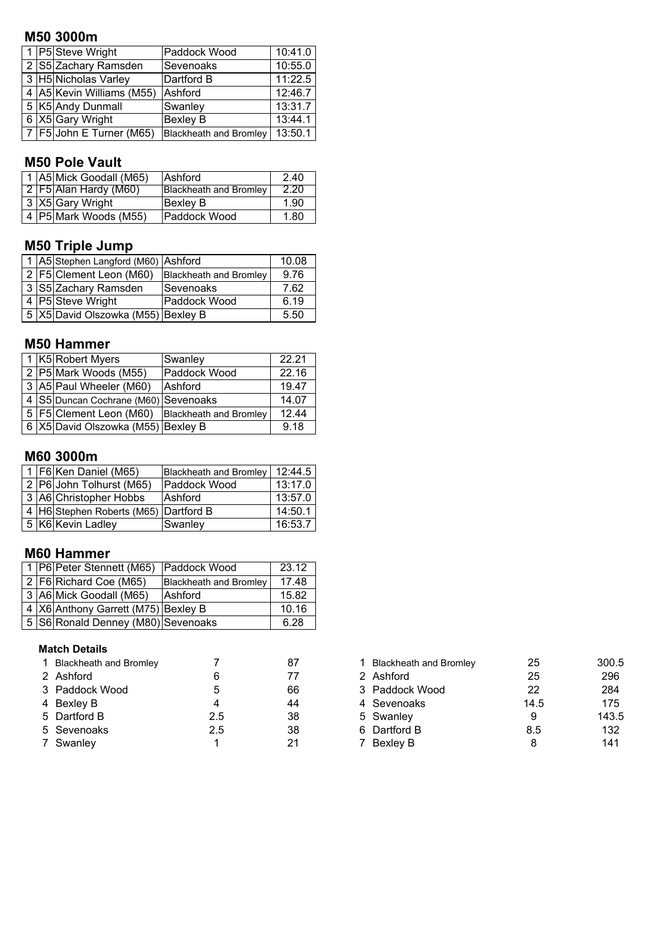## **M50 3000m**

|  | 1 P5 Steve Wright          | Paddock Wood                  | 10:41.0 |
|--|----------------------------|-------------------------------|---------|
|  | 2 S5 Zachary Ramsden       | Sevenoaks                     | 10:55.0 |
|  | 3 H5 Nicholas Varley       | Dartford B                    | 11:22.5 |
|  | 4 A5 Kevin Williams (M55)  | Ashford                       | 12:46.7 |
|  | 5 K5 Andy Dunmall          | Swanley                       | 13:31.7 |
|  | 6 X5 Gary Wright           | <b>Bexley B</b>               | 13:44.1 |
|  | 7   F5 John E Turner (M65) | <b>Blackheath and Bromley</b> | 13:50.1 |

#### **M50 Pole Vault**

|  | 1 A5 Mick Goodall (M65)   | <b>Ashford</b>                | 2.40 |
|--|---------------------------|-------------------------------|------|
|  | 2   F5  Alan Hardy (M60)  | <b>Blackheath and Bromley</b> | 2.20 |
|  | 3 X5 Gary Wright          | lBexlev B                     | 1.90 |
|  | 4   P5   Mark Woods (M55) | Paddock Wood                  | 1.80 |

#### **M50 Triple Jump**

|  | 1 A5 Stephen Langford (M60) Ashford |                               | 10.08 |
|--|-------------------------------------|-------------------------------|-------|
|  | 2   F5   Clement Leon (M60)         | <b>Blackheath and Bromley</b> | 9.76  |
|  | 3 S5 Zachary Ramsden                | ISevenoaks                    | 7.62  |
|  | 4 P5 Steve Wright                   | Paddock Wood                  | 6.19  |
|  | 5 X5 David Olszowka (M55) Bexley B  |                               | 5.50  |

#### **M50 Hammer**

|  | 1 K5 Robert Myers                    | Swanley                       | 22.21 |
|--|--------------------------------------|-------------------------------|-------|
|  | 2 P5 Mark Woods (M55)                | Paddock Wood                  | 22.16 |
|  | 3 A5 Paul Wheeler (M60)              | Ashford                       | 19.47 |
|  | 4 S5 Duncan Cochrane (M60) Sevenoaks |                               | 14.07 |
|  | 5   F5   Clement Leon (M60)          | <b>Blackheath and Bromley</b> | 12.44 |
|  | 6 X5 David Olszowka (M55) Bexley B   |                               | 9 1 8 |

## **M60 3000m**

|  | 1   F6   Ken Daniel (M65)             | Blackheath and Bromley | 12:44.5 |
|--|---------------------------------------|------------------------|---------|
|  | 2 P6 John Tolhurst (M65)              | Paddock Wood           | 13:17.0 |
|  | 3 A6 Christopher Hobbs                | <b>Ashford</b>         | 13:57.0 |
|  | 4 H6 Stephen Roberts (M65) Dartford B |                        | 14:50.1 |
|  | 5 K6 Kevin Ladley                     | Swanley                | 16:53.7 |

### **M60 Hammer**

|  | 1 P6 Peter Stennett (M65) Paddock Wood |                               | 23.12 |
|--|----------------------------------------|-------------------------------|-------|
|  | 2   F6   Richard Coe (M65)             | <b>Blackheath and Bromley</b> | 17.48 |
|  | 3 A6 Mick Goodall (M65)                | Ashford                       | 15.82 |
|  | 4   X6 Anthony Garrett (M75) Bexley B  |                               | 10.16 |
|  | 5 S6 Ronald Denney (M80) Sevenoaks     |                               | 6.28  |

#### **Match Details**

| <b>Blackheath and Bromley</b> |     | 87 | <b>Blackheath and Bromley</b> | 25   | 300. |
|-------------------------------|-----|----|-------------------------------|------|------|
| 2 Ashford                     |     |    | 2 Ashford                     | 25   | 296  |
| 3 Paddock Wood                |     | 66 | 3 Paddock Wood                | 22   | 284  |
| 4 Bexley B                    |     | 44 | 4 Sevenoaks                   | 14.5 | 175  |
| 5 Dartford B                  | 2.5 | 38 | 5 Swanley                     | 9    | 143. |
| 5 Sevenoaks                   | 2.5 | 38 | 6 Dartford B                  | 8.5  | 132  |
| 7 Swanley                     |     | 21 | 7 Bexley B                    |      | 141  |

| 1 Blackheath and Bromley |     | 87 | <b>Blackheath and Bromley</b> | 25   | 300.5 |
|--------------------------|-----|----|-------------------------------|------|-------|
| 2 Ashford                |     | 77 | 2 Ashford                     | 25   | 296   |
| 3 Paddock Wood           | 5   | 66 | 3 Paddock Wood                | 22   | 284   |
| 4 Bexley B               |     | 44 | 4 Sevenoaks                   | 14.5 | 175   |
| 5 Dartford B             | 2.5 | 38 | 5 Swanley                     | 9    | 143.5 |
| 5 Sevenoaks              | 2.5 | 38 | 6 Dartford B                  | 8.5  | 132   |
| 7 Swanley                |     | 21 | 7 Bexley B                    |      | 141   |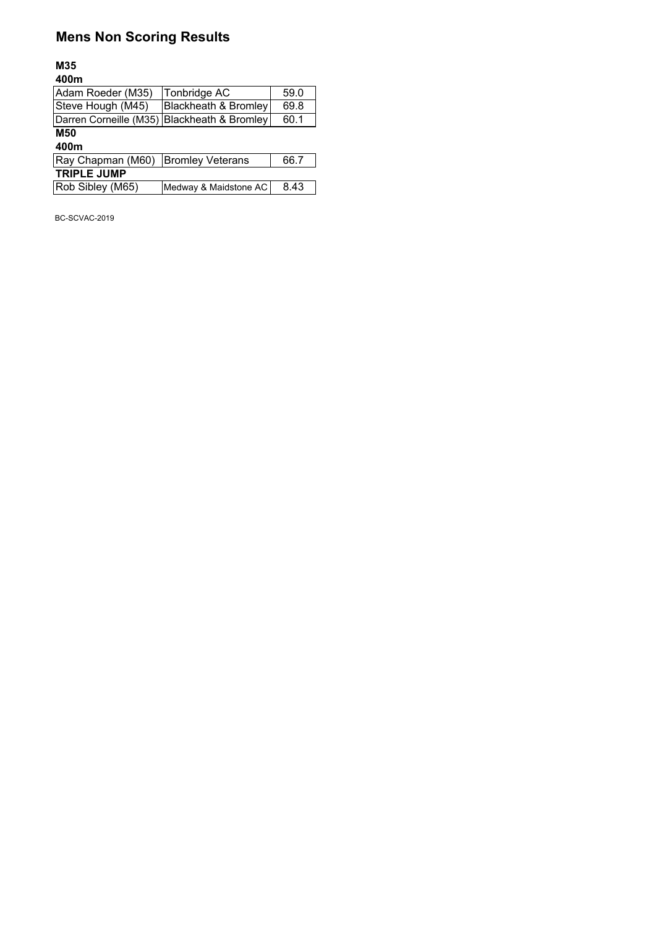## **Mens Non Scoring Results**

#### **M35 400m**

| Tonbridge AC                                | 59.0 |
|---------------------------------------------|------|
| Blackheath & Bromley                        | 69.8 |
| Darren Corneille (M35) Blackheath & Bromley | 60.1 |
|                                             |      |
|                                             |      |
| <b>Bromley Veterans</b>                     | 66.7 |
|                                             |      |
| Medway & Maidstone AC                       | 8.43 |
|                                             |      |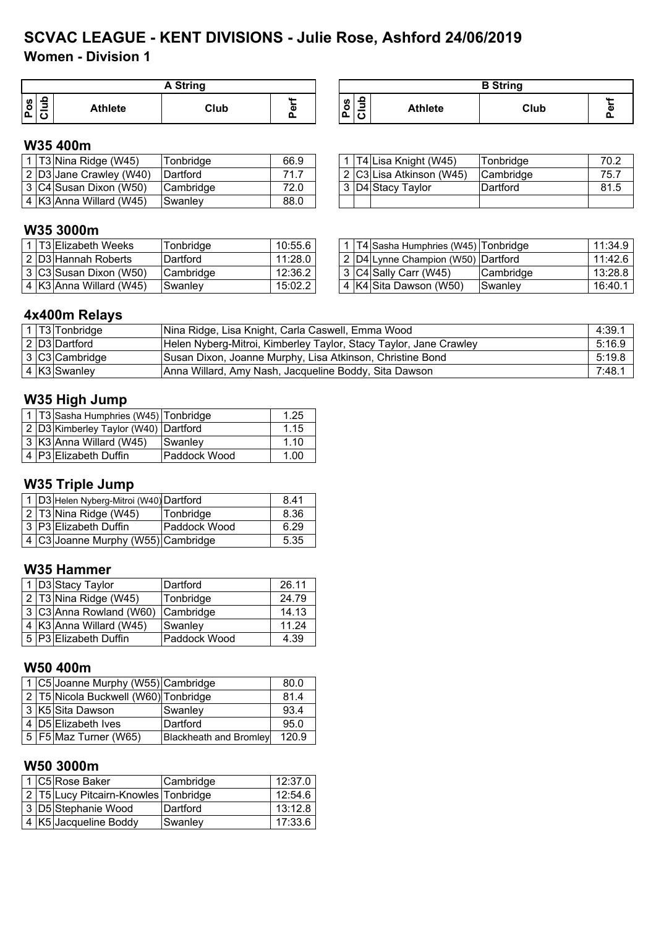## **Women - Division 1 SCVAC LEAGUE - KENT DIVISIONS - Julie Rose, Ashford 24/06/2019**

|                          | String         |      |        |  |                                                            |                | <b>B</b> String |   |
|--------------------------|----------------|------|--------|--|------------------------------------------------------------|----------------|-----------------|---|
| ╭<br>$P_{OS}$<br>_<br>ΙC | <b>Athlete</b> | Club | $\sim$ |  | $\mathbf{a}$<br><b>S</b><br>ິ<br>-<br>$\cdots$<br>. .<br>u | <b>Athlete</b> | Club            | л |

#### **W35 400m**

|  | 1 T3 Nina Ridge (W45)     | Tonbridge        | 66.9 |  | T4 Lisa Knight (W45)      | Tonbridge | 70.2 |
|--|---------------------------|------------------|------|--|---------------------------|-----------|------|
|  | 2 D3 Jane Crawley (W40)   | <b>IDartford</b> | 71.7 |  | 2 IC3ILisa Atkinson (W45) | Cambridge | 75.7 |
|  | 3 C4 Susan Dixon (W50)    | ICambridge       | 72.0 |  | 3 D4 Stacy Taylor         | Dartford  | 81.5 |
|  | $4$ K3 Anna Willard (W45) | ISwanlev         | 88.0 |  |                           |           |      |

|  | 1 T4 Lisa Knight (W45)   | Tonbridge | 70.2 |
|--|--------------------------|-----------|------|
|  | 2 C3 Lisa Atkinson (W45) | Cambridge | 75.7 |
|  | 3 D4 Stacy Taylor        | Dartford  | 81.5 |
|  |                          |           |      |

#### **W35 3000m**

|  | 1 IT3IElizabeth Weeks   | Tonbridae | 10:55.6 |  | 1   T4   Sasha Humphries (W45)   Tonbridge |                  | 11:34.9 |
|--|-------------------------|-----------|---------|--|--------------------------------------------|------------------|---------|
|  | l 2 ID3IHannah Roberts  | Dartford  | 11:28.0 |  | 2 D4 Lynne Champion (W50) Dartford         |                  | 11:42.6 |
|  | 3 C3 Susan Dixon (W50)  | Cambridge | 12:36.2 |  | 3 C4 Sally Carr (W45)                      | <b>Cambridge</b> | 13:28.8 |
|  | 4 K3 Anna Willard (W45) | Swanley   | 15:02.2 |  | 4 K4 Sita Dawson (W50)                     | Swanlev          | 16:40.1 |

|  | 1   T4 Sasha Humphries (W45)   Tonbridge |           | 11:34.9 |
|--|------------------------------------------|-----------|---------|
|  | 2   D4   Lynne Champion (W50)   Dartford |           | 11:42.6 |
|  | $3$ C4 Sally Carr (W45)                  | Cambridge | 13:28.8 |
|  | 4 K4 Sita Dawson (W50)                   | Swanley   | 16:40.1 |

### **4x400m Relays**

|  | 1   T3   Tonbridge | Nina Ridge, Lisa Knight, Carla Caswell, Emma Wood                 | 4:39.1 |
|--|--------------------|-------------------------------------------------------------------|--------|
|  | 2 D3 Dartford      | Helen Nyberg-Mitroi, Kimberley Taylor, Stacy Taylor, Jane Crawley | 5:16.9 |
|  | 3 C3 Cambridge     | Susan Dixon, Joanne Murphy, Lisa Atkinson, Christine Bond         | 5:19.8 |
|  | $4$ K3 Swanley     | Anna Willard, Amy Nash, Jacqueline Boddy, Sita Dawson             | 7:48.7 |

## **W35 High Jump**

|  | 1   T3 Sasha Humphries (W45)   Tonbridge |              | 1.25 |
|--|------------------------------------------|--------------|------|
|  | 2 D3 Kimberley Taylor (W40) Dartford     |              | 1.15 |
|  | 3 K3 Anna Willard (W45)                  | Swanley      | 110  |
|  | 4 P3 Elizabeth Duffin                    | Paddock Wood | 1.00 |

## **W35 Triple Jump**

|  | 1 D3 Helen Nyberg-Mitroi (W40) Dartford | 8.41                |      |
|--|-----------------------------------------|---------------------|------|
|  | $2$   T3 Nina Ridge (W45)               | Tonbridge           | 8.36 |
|  | 3 P3 Elizabeth Duffin                   | <b>Paddock Wood</b> | 6.29 |
|  | 4 C3 Joanne Murphy (W55) Cambridge      |                     | 5.35 |

#### **W35 Hammer**

|  | 1 D3 Stacy Taylor       | Dartford     | 26.11 |
|--|-------------------------|--------------|-------|
|  | 2 T3 Nina Ridge (W45)   | Tonbridge    | 24.79 |
|  | 3 C3 Anna Rowland (W60) | Cambridge    | 14.13 |
|  | 4 K3 Anna Willard (W45) | Swanley      | 11.24 |
|  | 5 P3 Elizabeth Duffin   | Paddock Wood | 4.39  |

#### **W50 400m**

|  | 1 C5 Joanne Murphy (W55) Cambridge     |                               | 80.0  |
|--|----------------------------------------|-------------------------------|-------|
|  | 2   T5 Nicola Buckwell (W60) Tonbridge |                               | 81.4  |
|  | 3 K5 Sita Dawson                       | Swanley                       | 93.4  |
|  | 4 D5 Elizabeth Ives                    | Dartford                      | 95.0  |
|  | 5   F5   Maz Turner (W65)              | <b>Blackheath and Bromley</b> | 120.9 |

### **W50 3000m**

|  | 1  C5 Rose Baker                     | Cambridge | 12:37.0 |
|--|--------------------------------------|-----------|---------|
|  | 2 T5 Lucy Pitcairn-Knowles Tonbridge |           | 12:54.6 |
|  | 3 D5 Stephanie Wood                  | lDartford | 13:12.8 |
|  | 4 K5 Jacqueline Boddy                | Swanley   | 17:33.6 |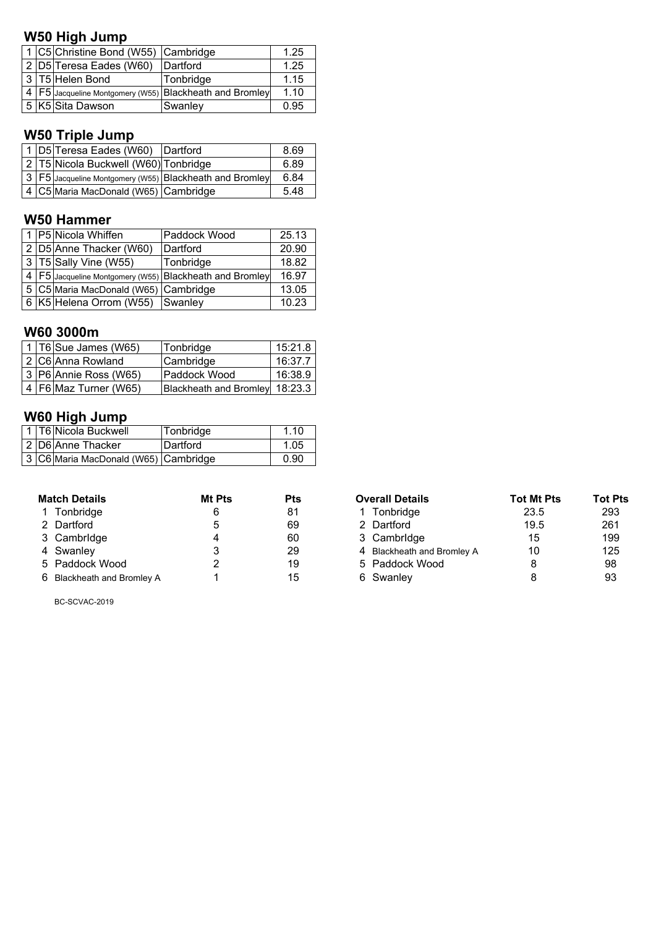## **W50 High Jump**

|  | 1 C5 Christine Bond (W55) Cambridge |                                                             | 1.25 |
|--|-------------------------------------|-------------------------------------------------------------|------|
|  | 2 D5 Teresa Eades (W60)             | Dartford                                                    | 1.25 |
|  | 3 T5 Helen Bond                     | Tonbridge                                                   | 1.15 |
|  |                                     | 4   F5 Jacqueline Montgomery (W55)   Blackheath and Bromley | 1.10 |
|  | 5 K5 Sita Dawson                    | Swanley                                                     | 0.95 |

# **W50 Triple Jump**

|  | 1 D5 Teresa Eades (W60) Dartford     |                                                              | 8.69 |
|--|--------------------------------------|--------------------------------------------------------------|------|
|  | 2 T5 Nicola Buckwell (W60) Tonbridge |                                                              | 6.89 |
|  |                                      | │ 3 │F5│Jacqueline Montgomery (W55) │BIackheath and Bromley│ | 6.84 |
|  | 4 C5 Maria MacDonald (W65) Cambridge |                                                              | 5.48 |

## **W50 Hammer**

|                         | 1 P5 Nicola Whiffen                  | Paddock Wood                                                | 25.13 |
|-------------------------|--------------------------------------|-------------------------------------------------------------|-------|
| 2 D5 Anne Thacker (W60) |                                      | Dartford                                                    | 20.90 |
|                         | 3   T5 Sally Vine (W55)              | Tonbridge                                                   | 18.82 |
|                         |                                      | 4   F5 Jacqueline Montgomery (W55)   Blackheath and Bromley | 16.97 |
|                         | 5 C5 Maria MacDonald (W65) Cambridge |                                                             | 13.05 |
|                         | 6 K5 Helena Orrom (W55)              | Swanley                                                     | 10.23 |

## **W60 3000m**

|  | 1   $T6$ Sue James (W65)  | Tonbridge                      | 15:21.8 |
|--|---------------------------|--------------------------------|---------|
|  | 2 C6 Anna Rowland         | Cambridge                      | 16:37.7 |
|  | 3 P6 Annie Ross (W65)     | lPaddock Wood                  | 16:38.9 |
|  | 4   F6   Maz Turner (W65) | Blackheath and Bromley 18:23.3 |         |

## **W60 High Jump**

|  | 1   T6 Nicola Buckwell               | <b>Tonbridge</b> | 1.10 |
|--|--------------------------------------|------------------|------|
|  | 2 D6 Anne Thacker                    | Dartford         | 1.05 |
|  | 3 C6 Maria MacDonald (W65) Cambridge |                  | 0.90 |

| <b>Match Details</b>       | Mt Pts | <b>Pts</b> | <b>Overall Details</b>     | <b>Tot Mt Pts</b> | Tot I           |
|----------------------------|--------|------------|----------------------------|-------------------|-----------------|
| 1 Tonbridge                |        | 81         | 1 Tonbridge                | 23.5              | 29 <sub>3</sub> |
| 2 Dartford                 |        | 69         | 2 Dartford                 | 19.5              | $26^{\circ}$    |
| 3 Cambridge                |        | 60         | 3 Cambridge                | 15                | 19              |
| 4 Swanley                  |        | 29         | 4 Blackheath and Bromley A | 10                | 12              |
| 5 Paddock Wood             |        | 19         | 5 Paddock Wood             | 8                 | 98              |
| 6 Blackheath and Bromley A |        | 15         | 6 Swanley                  |                   | 93              |

| <b>Match Details</b>       | Mt Pts | <b>Pts</b> | <b>Overall Details</b>     | <b>Tot Mt Pts</b> | <b>Tot Pts</b> |
|----------------------------|--------|------------|----------------------------|-------------------|----------------|
| 1 Tonbridge                | 6      | 81         | 1 Tonbridge                | 23.5              | 293            |
| 2 Dartford                 | 5      | 69         | 2 Dartford                 | 19.5              | 261            |
| 3 Cambridge                |        | 60         | 3 Cambridge                | 15                | 199            |
| 4 Swanley                  |        | 29         | 4 Blackheath and Bromley A | 10                | 125            |
| 5 Paddock Wood             |        | 19         | 5 Paddock Wood             |                   | 98             |
| 6 Blackheath and Bromley A |        | 15         | 6 Swanley                  |                   | 93             |
|                            |        |            |                            |                   |                |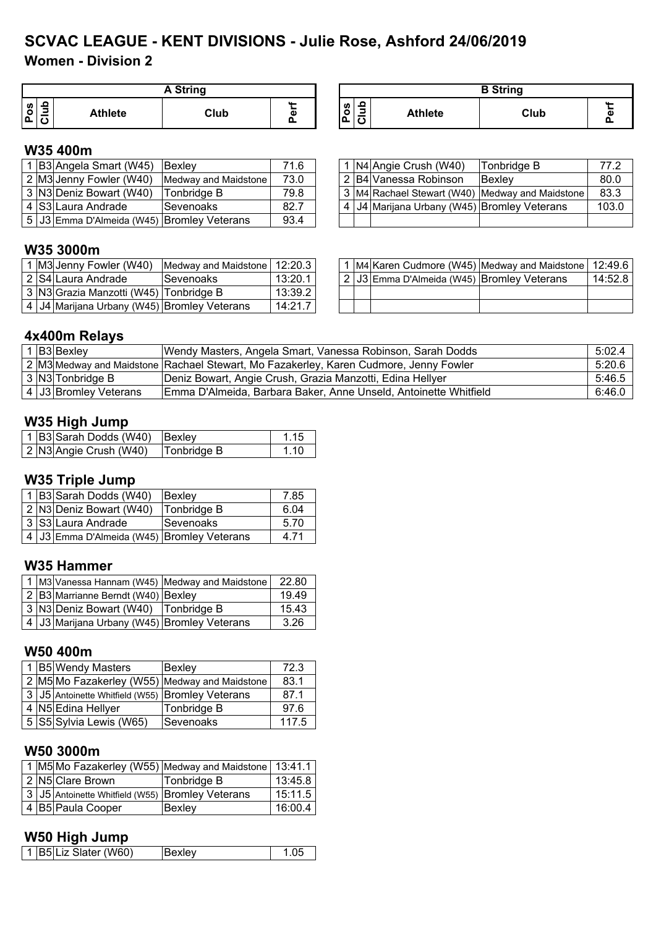# **SCVAC LEAGUE - KENT DIVISIONS - Julie Rose, Ashford 24/06/2019**

**Women - Division 2**

| A String                                      |      |                            |              |     |                | <b>B</b> String |  |
|-----------------------------------------------|------|----------------------------|--------------|-----|----------------|-----------------|--|
| ء<br>8<br>-<br><b>Athlete</b><br>≃<br>்ட<br>◡ | Club | $\cdots$<br>$\overline{a}$ | ທ<br>0<br>ᆞ. | . C | <b>Athlete</b> | Club            |  |

#### **W35 400m**

|  | B3 Angela Smart (W45) Bexley                 |                                              | 71.6 |  | 1 N4 Angie Crush (W40)                      | Tonbridge B                                     | 77.2  |
|--|----------------------------------------------|----------------------------------------------|------|--|---------------------------------------------|-------------------------------------------------|-------|
|  |                                              | 2 M3 Jenny Fowler (W40) Medway and Maidstone | 73.0 |  | . 2 B4 Vanessa Robinson                     | <b>Bexlev</b>                                   | 80.0  |
|  | 3 N3 Deniz Bowart (W40)                      | <b>Tonbridge B</b>                           | 79.8 |  |                                             | 3 M4 Rachael Stewart (W40) Medway and Maidstone | 83.3  |
|  | 4 S3 Laura Andrade                           | Sevenoaks                                    | 82.7 |  | 4 J4 Marijana Urbany (W45) Bromley Veterans |                                                 | 103.0 |
|  | 5   J3 Emma D'Almeida (W45) Bromley Veterans |                                              | 93.4 |  |                                             |                                                 |       |

|  | 1   N4 Angie Crush (W40)                  | Tonbridge B                                     | 77.2  |
|--|-------------------------------------------|-------------------------------------------------|-------|
|  | l 2  B4 Vanessa Robinson                  | Bexley                                          | 80.0  |
|  |                                           | 3 M4 Rachael Stewart (W40) Medway and Maidstone | 83.3  |
|  | J4 Marijana Urbany (W45) Bromley Veterans |                                                 | 103.0 |

#### **W35 3000m**

|  |                                                   | I M3 Jenny Fowler (W40) Medway and Maidstone 12:20.3 |         |  |                                             | ! ∣M4∣Karen Cudmore (W45) ∣Medway and Maidstone ∣ 12:49.6 |         |
|--|---------------------------------------------------|------------------------------------------------------|---------|--|---------------------------------------------|-----------------------------------------------------------|---------|
|  | I 2 IS4ILaura Andrade                             | <b>Sevenoaks</b>                                     | 13:20.1 |  | 2 JJ3 Emma D'Almeida (W45) Bromley Veterans |                                                           | 14:52.8 |
|  | 3   N3 Grazia Manzotti (W45)   Tonbridge B        |                                                      | 13:39.2 |  |                                             |                                                           |         |
|  | 4   J4   Marijana Urbany (W45)   Bromley Veterans |                                                      | 14:21.7 |  |                                             |                                                           |         |

|  |                                            | $\mid$ 1 $\mid$ M4 $\mid$ Karen Cudmore (W45) $\mid$ Medway and Maidstone $\mid$ 12:49.6 |         |
|--|--------------------------------------------|------------------------------------------------------------------------------------------|---------|
|  | 2 J3 Emma D'Almeida (W45) Bromley Veterans |                                                                                          | 14:52.8 |
|  |                                            |                                                                                          |         |
|  |                                            |                                                                                          |         |

#### **4x400m Relays**

|  | 1 B3 Bexley           | Wendy Masters, Angela Smart, Vanessa Robinson, Sarah Dodds                            | 5:02.4 |
|--|-----------------------|---------------------------------------------------------------------------------------|--------|
|  |                       | 2 M3 Medway and Maidstone Rachael Stewart, Mo Fazakerley, Karen Cudmore, Jenny Fowler | 5:20.6 |
|  | 3 N3 Tonbridge B      | Deniz Bowart, Angie Crush, Grazia Manzotti, Edina Hellyer                             | 5:46.5 |
|  | 4 J3 Bromley Veterans | Emma D'Almeida, Barbara Baker, Anne Unseld, Antoinette Whitfield                      | 6:46.0 |

#### **W35 High Jump**

|  | 1 B3 Sarah Dodds (W40) Bexley |             |       |
|--|-------------------------------|-------------|-------|
|  | 2 N3 Angie Crush (W40)        | Tonbridge B | 1 1 0 |

#### **W35 Triple Jump**

|  | 1 B3 Sarah Dodds (W40)                       | <b>Bexley</b> | 7.85 |
|--|----------------------------------------------|---------------|------|
|  | 2 N3 Deniz Bowart (W40)                      | Tonbridge B   | 6.04 |
|  | ⊦3 S3 Laura Andrade                          | lSevenoaks    | 5.70 |
|  | 4   J3 Emma D'Almeida (W45) Bromley Veterans |               | 4 71 |

#### **W35 Hammer**

|  |                                                | 1 M3 Vanessa Hannam (W45) Medway and Maidstone | 22.80 |
|--|------------------------------------------------|------------------------------------------------|-------|
|  | 2 B3 Marrianne Berndt (W40) Bexley             |                                                | 1949  |
|  | 3 N3 Deniz Bowart (W40) Tonbridge B            |                                                | 15.43 |
|  | 4   J3  Marijana Urbany (W45) Bromley Veterans |                                                | 3.26  |

#### **W50 400m**

|  | 1 B5 Wendy Masters                               | Bexley                                        | 72.3  |
|--|--------------------------------------------------|-----------------------------------------------|-------|
|  |                                                  | 2 M5 Mo Fazakerley (W55) Medway and Maidstone | 83.1  |
|  | 3 J5 Antoinette Whitfield (W55) Bromley Veterans |                                               | 87.1  |
|  | 4 N5 Edina Hellyer                               | Tonbridge B                                   | 97.6  |
|  | 5 S5 Sylvia Lewis (W65)                          | Sevenoaks                                     | 117.5 |

#### **W50 3000m**

|  |                                                   | 1 M5 Mo Fazakerley (W55) Medway and Maidstone 13:41.1 |         |
|--|---------------------------------------------------|-------------------------------------------------------|---------|
|  | 2 N5 Clare Brown                                  | Tonbridge B                                           | 13:45.8 |
|  | 3 JJ5 Antoinette Whitfield (W55) Bromley Veterans |                                                       | 15:11.5 |
|  | 4 B5 Paula Cooper                                 | Bexley                                                | 16:00.4 |

### **W50 High Jump**

| 1 B5 Liz Slater (W60)<br><b>IBexlev</b> |
|-----------------------------------------|
|-----------------------------------------|